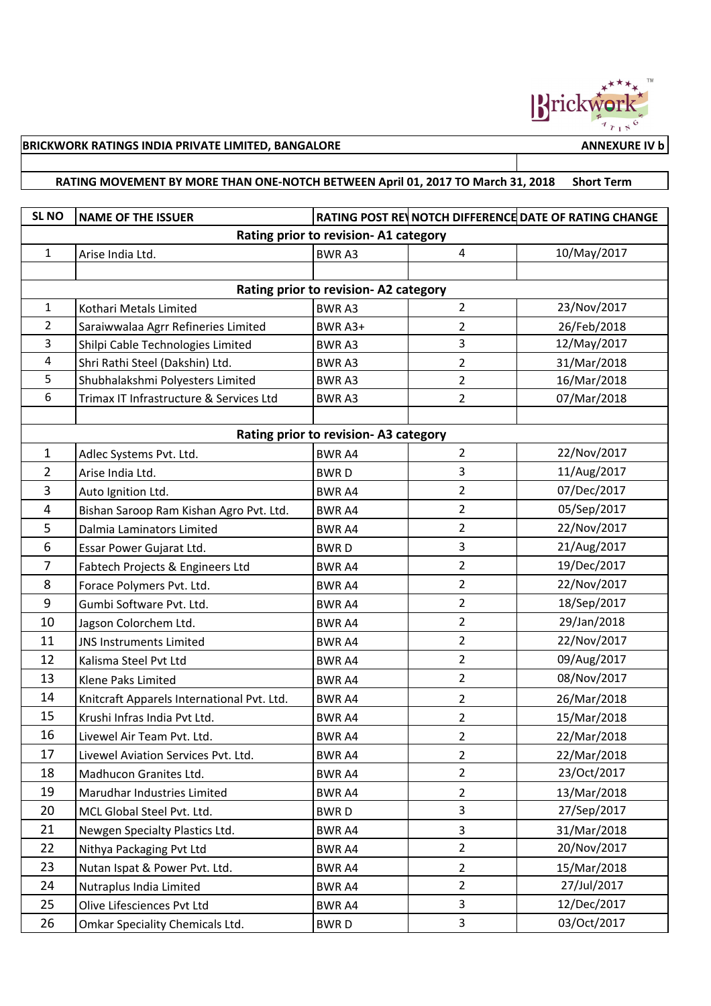

## **BRICKWORK RATINGS INDIA PRIVATE LIMITED, BANGALORE ANNEXURE IV b ANNEXURE IV b**

## **RATING MOVEMENT BY MORE THAN ONE-NOTCH BETWEEN April 01, 2017 TO March 31, 2018 Short Term**

| SL <sub>NO</sub>                     | <b>NAME OF THE ISSUER</b>                  |               |                | RATING POST REV NOTCH DIFFERENCE DATE OF RATING CHANGE |  |  |  |  |
|--------------------------------------|--------------------------------------------|---------------|----------------|--------------------------------------------------------|--|--|--|--|
| Rating prior to revision-A1 category |                                            |               |                |                                                        |  |  |  |  |
| $\mathbf{1}$                         | Arise India Ltd.                           | <b>BWRA3</b>  | $\overline{4}$ | 10/May/2017                                            |  |  |  |  |
|                                      |                                            |               |                |                                                        |  |  |  |  |
| Rating prior to revision-A2 category |                                            |               |                |                                                        |  |  |  |  |
| $\mathbf{1}$                         | Kothari Metals Limited                     | <b>BWRA3</b>  | $\overline{2}$ | 23/Nov/2017                                            |  |  |  |  |
| $\overline{2}$                       | Saraiwwalaa Agrr Refineries Limited        | BWR A3+       | 2              | 26/Feb/2018                                            |  |  |  |  |
| 3                                    | Shilpi Cable Technologies Limited          | <b>BWRA3</b>  | 3              | 12/May/2017                                            |  |  |  |  |
| 4                                    | Shri Rathi Steel (Dakshin) Ltd.            | <b>BWRA3</b>  | 2              | 31/Mar/2018                                            |  |  |  |  |
| 5                                    | Shubhalakshmi Polyesters Limited           | <b>BWRA3</b>  | 2              | 16/Mar/2018                                            |  |  |  |  |
| 6                                    | Trimax IT Infrastructure & Services Ltd    | <b>BWRA3</b>  | $\overline{2}$ | 07/Mar/2018                                            |  |  |  |  |
|                                      |                                            |               |                |                                                        |  |  |  |  |
| Rating prior to revision-A3 category |                                            |               |                |                                                        |  |  |  |  |
| $\mathbf{1}$                         | Adlec Systems Pvt. Ltd.                    | <b>BWR A4</b> | 2              | 22/Nov/2017                                            |  |  |  |  |
| $\overline{2}$                       | Arise India Ltd.                           | <b>BWRD</b>   | 3              | 11/Aug/2017                                            |  |  |  |  |
| 3                                    | Auto Ignition Ltd.                         | <b>BWR A4</b> | 2              | 07/Dec/2017                                            |  |  |  |  |
| $\overline{4}$                       | Bishan Saroop Ram Kishan Agro Pvt. Ltd.    | <b>BWR A4</b> | 2              | 05/Sep/2017                                            |  |  |  |  |
| 5                                    | Dalmia Laminators Limited                  | <b>BWRA4</b>  | 2              | 22/Nov/2017                                            |  |  |  |  |
| 6                                    | Essar Power Gujarat Ltd.                   | <b>BWRD</b>   | 3              | 21/Aug/2017                                            |  |  |  |  |
| $\overline{7}$                       | Fabtech Projects & Engineers Ltd           | <b>BWR A4</b> | $\overline{2}$ | 19/Dec/2017                                            |  |  |  |  |
| 8                                    | Forace Polymers Pvt. Ltd.                  | <b>BWR A4</b> | 2              | 22/Nov/2017                                            |  |  |  |  |
| 9                                    | Gumbi Software Pvt. Ltd.                   | <b>BWR A4</b> | $\overline{2}$ | 18/Sep/2017                                            |  |  |  |  |
| 10                                   | Jagson Colorchem Ltd.                      | <b>BWR A4</b> | 2              | 29/Jan/2018                                            |  |  |  |  |
| 11                                   | <b>JNS Instruments Limited</b>             | <b>BWR A4</b> | $\overline{2}$ | 22/Nov/2017                                            |  |  |  |  |
| 12                                   | Kalisma Steel Pvt Ltd                      | <b>BWR A4</b> | 2              | 09/Aug/2017                                            |  |  |  |  |
| 13                                   | Klene Paks Limited                         | <b>BWRA4</b>  | $\overline{2}$ | 08/Nov/2017                                            |  |  |  |  |
| 14                                   | Knitcraft Apparels International Pvt. Ltd. | <b>BWR A4</b> | 2              | 26/Mar/2018                                            |  |  |  |  |
| 15                                   | Krushi Infras India Pvt Ltd.               | <b>BWR A4</b> | $\overline{2}$ | 15/Mar/2018                                            |  |  |  |  |
| 16                                   | Livewel Air Team Pvt. Ltd.                 | <b>BWRA4</b>  | 2              | 22/Mar/2018                                            |  |  |  |  |
| 17                                   | Livewel Aviation Services Pvt. Ltd.        | BWR A4        | 2              | 22/Mar/2018                                            |  |  |  |  |
| 18                                   | Madhucon Granites Ltd.                     | BWR A4        | $\overline{2}$ | 23/Oct/2017                                            |  |  |  |  |
| 19                                   | Marudhar Industries Limited                | BWR A4        | $\overline{2}$ | 13/Mar/2018                                            |  |  |  |  |
| 20                                   | MCL Global Steel Pvt. Ltd.                 | <b>BWRD</b>   | $\overline{3}$ | 27/Sep/2017                                            |  |  |  |  |
| 21                                   | Newgen Specialty Plastics Ltd.             | <b>BWRA4</b>  | 3              | 31/Mar/2018                                            |  |  |  |  |
| 22                                   | Nithya Packaging Pvt Ltd                   | BWR A4        | $\overline{2}$ | 20/Nov/2017                                            |  |  |  |  |
| 23                                   | Nutan Ispat & Power Pvt. Ltd.              | <b>BWRA4</b>  | $\overline{2}$ | 15/Mar/2018                                            |  |  |  |  |
| 24                                   | Nutraplus India Limited                    | <b>BWRA4</b>  | $\overline{2}$ | 27/Jul/2017                                            |  |  |  |  |
| 25                                   | Olive Lifesciences Pvt Ltd                 | BWR A4        | 3              | 12/Dec/2017                                            |  |  |  |  |
| 26                                   | Omkar Speciality Chemicals Ltd.            | <b>BWRD</b>   | 3              | 03/Oct/2017                                            |  |  |  |  |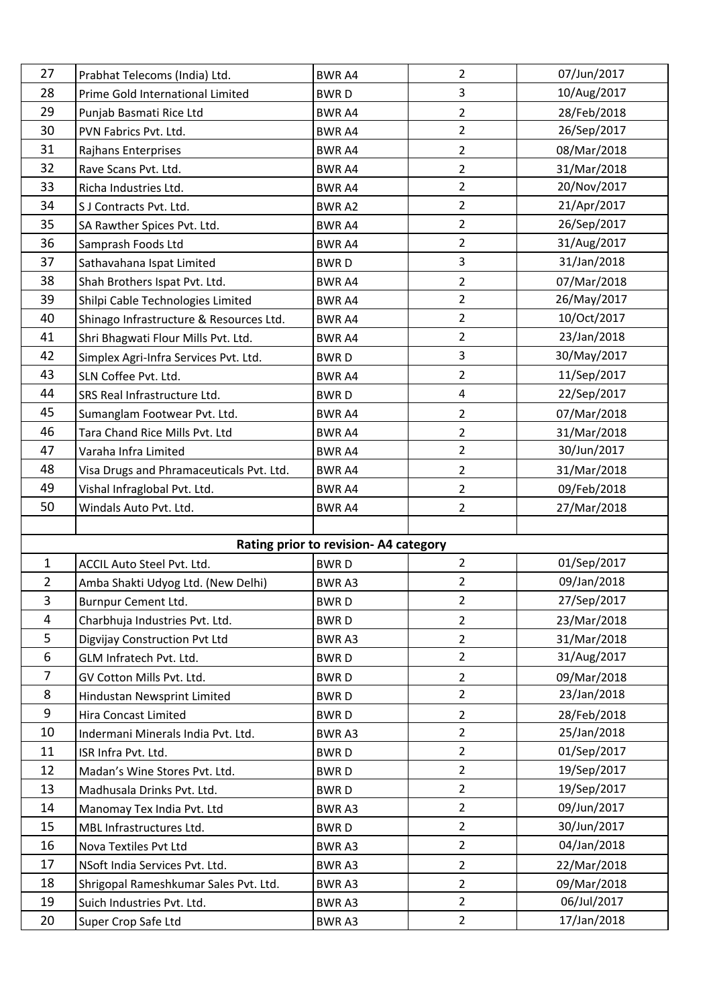| 27             | Prabhat Telecoms (India) Ltd.                     | <b>BWRA4</b>                          | 2                                | 07/Jun/2017                |
|----------------|---------------------------------------------------|---------------------------------------|----------------------------------|----------------------------|
| 28             | Prime Gold International Limited                  | <b>BWRD</b>                           | 3                                | 10/Aug/2017                |
| 29             | Punjab Basmati Rice Ltd                           | <b>BWRA4</b>                          | $\overline{2}$                   | 28/Feb/2018                |
| 30             | PVN Fabrics Pvt. Ltd.                             | <b>BWR A4</b>                         | $\overline{2}$                   | 26/Sep/2017                |
| 31             | Rajhans Enterprises                               | <b>BWR A4</b>                         | $\overline{2}$                   | 08/Mar/2018                |
| 32             | Rave Scans Pvt. Ltd.                              | <b>BWR A4</b>                         | $\overline{2}$                   | 31/Mar/2018                |
| 33             | Richa Industries Ltd.                             | <b>BWR A4</b>                         | $\overline{2}$                   | 20/Nov/2017                |
| 34             | S J Contracts Pvt. Ltd.                           | <b>BWRA2</b>                          | $\overline{2}$                   | 21/Apr/2017                |
| 35             | SA Rawther Spices Pvt. Ltd.                       | <b>BWR A4</b>                         | $\overline{2}$                   | 26/Sep/2017                |
| 36             | Samprash Foods Ltd                                | <b>BWR A4</b>                         | $\overline{2}$                   | 31/Aug/2017                |
| 37             | Sathavahana Ispat Limited                         | <b>BWRD</b>                           | 3                                | 31/Jan/2018                |
| 38             | Shah Brothers Ispat Pvt. Ltd.                     | <b>BWR A4</b>                         | $\overline{2}$                   | 07/Mar/2018                |
| 39             | Shilpi Cable Technologies Limited                 | <b>BWR A4</b>                         | $\overline{2}$                   | 26/May/2017                |
| 40             | Shinago Infrastructure & Resources Ltd.           | <b>BWR A4</b>                         | $\overline{2}$                   | 10/Oct/2017                |
| 41             | Shri Bhagwati Flour Mills Pvt. Ltd.               | <b>BWR A4</b>                         | $\overline{2}$                   | 23/Jan/2018                |
| 42             | Simplex Agri-Infra Services Pvt. Ltd.             | <b>BWRD</b>                           | 3                                | 30/May/2017                |
| 43             | SLN Coffee Pvt. Ltd.                              | <b>BWR A4</b>                         | $\overline{2}$                   | 11/Sep/2017                |
| 44             | SRS Real Infrastructure Ltd.                      | <b>BWRD</b>                           | 4                                | 22/Sep/2017                |
| 45             | Sumanglam Footwear Pvt. Ltd.                      | <b>BWRA4</b>                          | $\overline{2}$                   | 07/Mar/2018                |
| 46             | Tara Chand Rice Mills Pvt. Ltd                    | <b>BWR A4</b>                         | $\overline{2}$                   | 31/Mar/2018                |
| 47             | Varaha Infra Limited                              | <b>BWR A4</b>                         | $\overline{2}$                   | 30/Jun/2017                |
| 48             | Visa Drugs and Phramaceuticals Pvt. Ltd.          | <b>BWR A4</b>                         | $\overline{2}$                   | 31/Mar/2018                |
| 49             | Vishal Infraglobal Pvt. Ltd.                      | <b>BWR A4</b>                         | $\overline{2}$                   | 09/Feb/2018                |
| 50             | Windals Auto Pvt. Ltd.                            | <b>BWRA4</b>                          | $\overline{2}$                   | 27/Mar/2018                |
|                |                                                   |                                       |                                  |                            |
|                |                                                   | Rating prior to revision- A4 category |                                  |                            |
| $\mathbf{1}$   | ACCIL Auto Steel Pvt. Ltd.                        | <b>BWRD</b>                           | $\overline{2}$                   | 01/Sep/2017                |
| $\overline{2}$ | Amba Shakti Udyog Ltd. (New Delhi)                | <b>BWRA3</b>                          | $\overline{2}$                   | 09/Jan/2018                |
| 3              | Burnpur Cement Ltd.                               | <b>BWRD</b>                           | $\overline{2}$                   | 27/Sep/2017                |
| 4              | Charbhuja Industries Pvt. Ltd.                    | <b>BWRD</b>                           | $\overline{2}$                   | 23/Mar/2018                |
| 5              | Digvijay Construction Pvt Ltd                     | BWR A3                                | $\overline{2}$                   | 31/Mar/2018                |
| 6              | GLM Infratech Pvt. Ltd.                           | <b>BWRD</b>                           | $\overline{2}$                   | 31/Aug/2017                |
| $\overline{7}$ | GV Cotton Mills Pvt. Ltd.                         | <b>BWRD</b>                           | $\overline{2}$                   | 09/Mar/2018                |
| 8              | Hindustan Newsprint Limited                       |                                       |                                  |                            |
| 9              |                                                   |                                       | $\overline{2}$                   | 23/Jan/2018                |
| 10             |                                                   | <b>BWRD</b>                           |                                  |                            |
|                | Hira Concast Limited                              | <b>BWRD</b>                           | $\overline{2}$<br>$\overline{2}$ | 28/Feb/2018<br>25/Jan/2018 |
| 11             | Indermani Minerals India Pvt. Ltd.                | BWR A3                                | $\overline{2}$                   | 01/Sep/2017                |
|                | ISR Infra Pvt. Ltd.                               | <b>BWRD</b>                           | $\overline{2}$                   |                            |
| 12             | Madan's Wine Stores Pvt. Ltd.                     | <b>BWRD</b>                           | $\overline{2}$                   | 19/Sep/2017                |
| 13<br>14       | Madhusala Drinks Pvt. Ltd.                        | <b>BWRD</b>                           | $\overline{2}$                   | 19/Sep/2017<br>09/Jun/2017 |
| 15             | Manomay Tex India Pvt. Ltd                        | <b>BWRA3</b>                          | $\overline{2}$                   | 30/Jun/2017                |
|                | MBL Infrastructures Ltd.                          | <b>BWRD</b>                           | $\overline{2}$                   | 04/Jan/2018                |
| 16             | Nova Textiles Pvt Ltd                             | BWR A3                                |                                  |                            |
| 17             | NSoft India Services Pvt. Ltd.                    | BWR A3                                | $\overline{2}$                   | 22/Mar/2018                |
| 18             | Shrigopal Rameshkumar Sales Pvt. Ltd.             | BWR A3                                | $\overline{2}$                   | 09/Mar/2018                |
| 19<br>20       | Suich Industries Pvt. Ltd.<br>Super Crop Safe Ltd | <b>BWRA3</b><br>BWR A3                | $\overline{2}$<br>$\overline{2}$ | 06/Jul/2017<br>17/Jan/2018 |